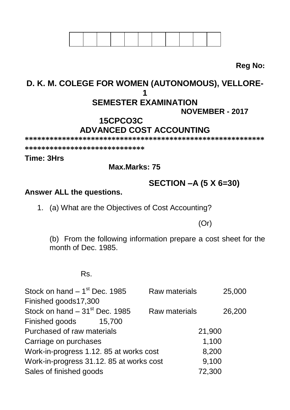**Reg No:**

## **D. K. M. COLEGE FOR WOMEN (AUTONOMOUS), VELLORE-1 SEMESTER EXAMINATION NOVEMBER - 2017**

# **15CPCO3C ADVANCED COST ACCOUNTING**

**\*\*\*\*\*\*\*\*\*\*\*\*\*\*\*\*\*\*\*\*\*\*\*\*\*\*\*\*\*\*\*\*\*\*\*\*\*\*\*\*\*\*\*\*\*\*\*\*\*\*\*\*\*\*\*\*\*\***

**\*\*\*\*\*\*\*\*\*\*\*\*\*\*\*\*\*\*\*\*\*\*\*\*\*\*\*\*\***

### **Time: 3Hrs**

 **Max.Marks: 75**

**SECTION –A (5 X 6=30)**

#### **Answer ALL the questions.**

1. (a) What are the Objectives of Cost Accounting?

(Or)

(b) From the following information prepare a cost sheet for the month of Dec. 1985.

#### Rs.

| Stock on hand $-1st$ Dec. 1985           | Raw materials | 25,000 |
|------------------------------------------|---------------|--------|
| Finished goods17,300                     |               |        |
| Stock on hand $-31st$ Dec. 1985          | Raw materials | 26,200 |
| Finished goods<br>15.700                 |               |        |
| Purchased of raw materials               | 21,900        |        |
| Carriage on purchases                    |               | 1,100  |
| Work-in-progress 1.12. 85 at works cost  |               | 8,200  |
| Work-in-progress 31.12. 85 at works cost |               | 9,100  |
| Sales of finished goods                  | 72,300        |        |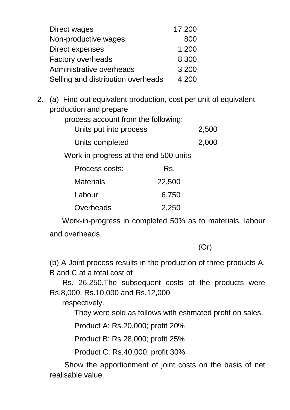| Direct wages                       | 17,200 |
|------------------------------------|--------|
| Non-productive wages               | 800    |
| Direct expenses                    | 1,200  |
| Factory overheads                  | 8,300  |
| Administrative overheads           | 3,200  |
| Selling and distribution overheads | 4,200  |

2. (a) Find out equivalent production, cost per unit of equivalent production and prepare

| Units put into process | 2,500 |
|------------------------|-------|
| Units completed        | 2,000 |

Work-in-progress at the end 500 units

| Process costs: | Rs.    |
|----------------|--------|
| Materials      | 22,500 |
| Labour         | 6,750  |
| Overheads      | 2,250  |

 Work-in-progress in completed 50% as to materials, labour and overheads.

(Or)

(b) A Joint process results in the production of three products A, B and C at a total cost of

 Rs. 26,250.The subsequent costs of the products were Rs.8,000, Rs.10,000 and Rs.12,000

respectively.

They were sold as follows with estimated profit on sales.

Product A: Rs.20,000; profit 20%

Product B: Rs.28,000; profit 25%

Product C: Rs.40,000; profit 30%

 Show the apportionment of joint costs on the basis of net realisable value.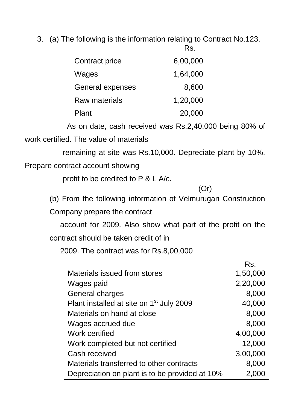3. (a) The following is the information relating to Contract No.123.

| Contract price   | 6,00,000 |
|------------------|----------|
| Wages            | 1,64,000 |
| General expenses | 8,600    |
| Raw materials    | 1,20,000 |
| Plant            | 20,000   |

 As on date, cash received was Rs.2,40,000 being 80% of work certified. The value of materials

remaining at site was Rs.10,000. Depreciate plant by 10%.

Prepare contract account showing

profit to be credited to P & L A/c.

(Or)

(b) From the following information of Velmurugan Construction

Company prepare the contract

 account for 2009. Also show what part of the profit on the contract should be taken credit of in

2009. The contract was for Rs.8,00,000

|                                                      | Rs.      |
|------------------------------------------------------|----------|
| Materials issued from stores                         | 1,50,000 |
| Wages paid                                           | 2,20,000 |
| General charges                                      | 8,000    |
| Plant installed at site on 1 <sup>st</sup> July 2009 | 40,000   |
| Materials on hand at close                           | 8,000    |
| Wages accrued due                                    | 8,000    |
| Work certified                                       | 4,00,000 |
| Work completed but not certified                     | 12,000   |
| Cash received                                        | 3,00,000 |
| Materials transferred to other contracts             | 8,000    |
| Depreciation on plant is to be provided at 10%       | 2,000    |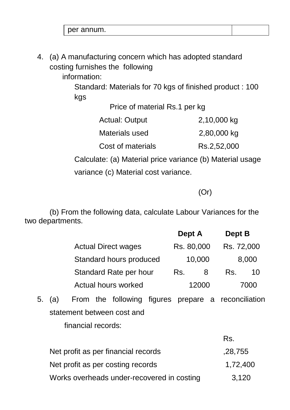per annum.

4. (a) A manufacturing concern which has adopted standard costing furnishes the following

information:

Standard: Materials for 70 kgs of finished product : 100 kgs

| Price of material Rs.1 per kg |  |  |
|-------------------------------|--|--|
|                               |  |  |

| <b>Actual: Output</b> | 2,10,000 kg |
|-----------------------|-------------|
| Materials used        | 2,80,000 kg |
| Cost of materials     | Rs.2,52,000 |

Calculate: (a) Material price variance (b) Material usage

variance (c) Material cost variance.

(Or)

Rs.

 (b) From the following data, calculate Labour Variances for the two departments.

|                            | Dept A     | Dept B     |
|----------------------------|------------|------------|
| <b>Actual Direct wages</b> | Rs. 80,000 | Rs. 72,000 |
| Standard hours produced    | 10,000     | 8,000      |
| Standard Rate per hour     | Rs.<br>8   | 10<br>Rs.  |
| Actual hours worked        | 12000      | חממי       |

5. (a) From the following figures prepare a reconciliation statement between cost and financial records:

|                                            | K5.      |
|--------------------------------------------|----------|
| Net profit as per financial records        | ,28,755  |
| Net profit as per costing records          | 1,72,400 |
| Works overheads under-recovered in costing | 3,120    |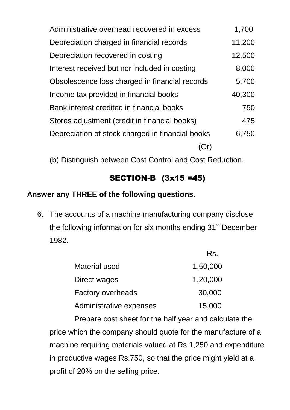| Administrative overhead recovered in excess      | 1,700  |
|--------------------------------------------------|--------|
| Depreciation charged in financial records        | 11,200 |
| Depreciation recovered in costing                | 12,500 |
| Interest received but nor included in costing    | 8,000  |
| Obsolescence loss charged in financial records   | 5,700  |
| Income tax provided in financial books           | 40,300 |
| Bank interest credited in financial books        | 750    |
| Stores adjustment (credit in financial books)    | 475    |
| Depreciation of stock charged in financial books | 6,750  |
|                                                  |        |

(b) Distinguish between Cost Control and Cost Reduction.

# SECTION-B (3x15 =45)

# **Answer any THREE of the following questions.**

6. The accounts of a machine manufacturing company disclose the following information for six months ending 31<sup>st</sup> December 1982.

|                         | Rs.      |
|-------------------------|----------|
| Material used           | 1,50,000 |
| Direct wages            | 1,20,000 |
| Factory overheads       | 30,000   |
| Administrative expenses | 15,000   |

Prepare cost sheet for the half year and calculate the price which the company should quote for the manufacture of a machine requiring materials valued at Rs.1,250 and expenditure in productive wages Rs.750, so that the price might yield at a profit of 20% on the selling price.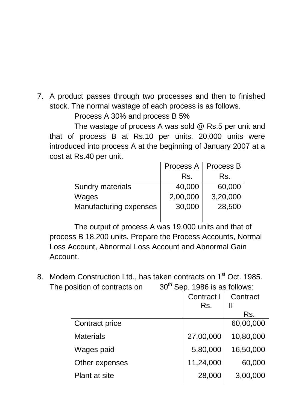7. A product passes through two processes and then to finished stock. The normal wastage of each process is as follows.

Process A 30% and process B 5%

The wastage of process A was sold @ Rs.5 per unit and that of process B at Rs.10 per units. 20,000 units were introduced into process A at the beginning of January 2007 at a cost at Rs.40 per unit.

| Process A   Process B |          |
|-----------------------|----------|
| Rs.                   | Rs.      |
| 40,000                | 60,000   |
| 2,00,000              | 3,20,000 |
| 30,000                | 28,500   |
|                       |          |

The output of process A was 19,000 units and that of process B 18,200 units. Prepare the Process Accounts, Normal Loss Account, Abnormal Loss Account and Abnormal Gain Account.

8. Modern Construction Ltd., has taken contracts on 1<sup>st</sup> Oct. 1985. The position of contracts on  $30<sup>th</sup>$  Sep. 1986 is as follows:

| Contract I<br>Rs. | Contract  |
|-------------------|-----------|
|                   | Rs.       |
|                   | 60,00,000 |
| 27,00,000         | 10,80,000 |
| 5,80,000          | 16,50,000 |
| 11,24,000         | 60,000    |
| 28,000            | 3,00,000  |
|                   |           |